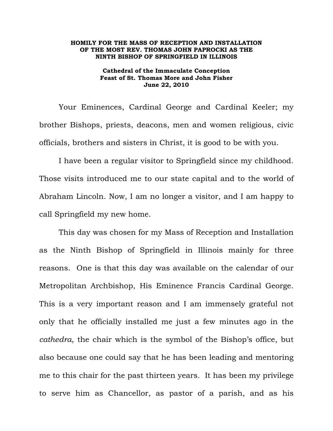## **HOMILY FOR THE MASS OF RECEPTION AND INSTALLATION OF THE MOST REV. THOMAS JOHN PAPROCKI AS THE NINTH BISHOP OF SPRINGFIELD IN ILLINOIS**

## **Cathedral of the Immaculate Conception Feast of St. Thomas More and John Fisher June 22, 2010**

Your Eminences, Cardinal George and Cardinal Keeler; my brother Bishops, priests, deacons, men and women religious, civic officials, brothers and sisters in Christ, it is good to be with you.

 I have been a regular visitor to Springfield since my childhood. Those visits introduced me to our state capital and to the world of Abraham Lincoln. Now, I am no longer a visitor, and I am happy to call Springfield my new home.

This day was chosen for my Mass of Reception and Installation as the Ninth Bishop of Springfield in Illinois mainly for three reasons. One is that this day was available on the calendar of our Metropolitan Archbishop, His Eminence Francis Cardinal George. This is a very important reason and I am immensely grateful not only that he officially installed me just a few minutes ago in the *cathedra*, the chair which is the symbol of the Bishop's office, but also because one could say that he has been leading and mentoring me to this chair for the past thirteen years. It has been my privilege to serve him as Chancellor, as pastor of a parish, and as his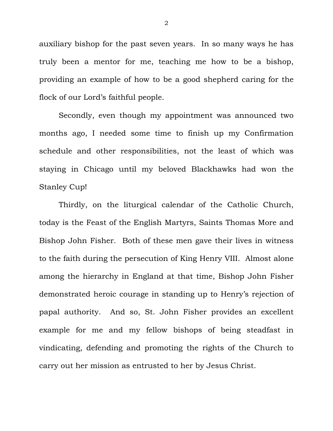auxiliary bishop for the past seven years. In so many ways he has truly been a mentor for me, teaching me how to be a bishop, providing an example of how to be a good shepherd caring for the flock of our Lord's faithful people.

Secondly, even though my appointment was announced two months ago, I needed some time to finish up my Confirmation schedule and other responsibilities, not the least of which was staying in Chicago until my beloved Blackhawks had won the Stanley Cup!

Thirdly, on the liturgical calendar of the Catholic Church, today is the Feast of the English Martyrs, Saints Thomas More and Bishop John Fisher. Both of these men gave their lives in witness to the faith during the persecution of King Henry VIII. Almost alone among the hierarchy in England at that time, Bishop John Fisher demonstrated heroic courage in standing up to Henry's rejection of papal authority. And so, St. John Fisher provides an excellent example for me and my fellow bishops of being steadfast in vindicating, defending and promoting the rights of the Church to carry out her mission as entrusted to her by Jesus Christ.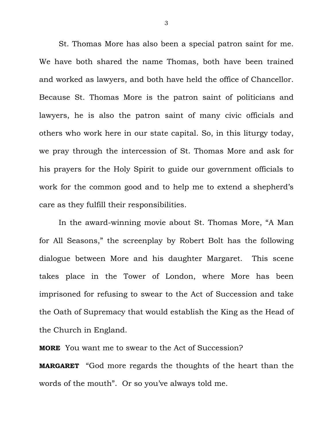St. Thomas More has also been a special patron saint for me. We have both shared the name Thomas, both have been trained and worked as lawyers, and both have held the office of Chancellor. Because St. Thomas More is the patron saint of politicians and lawyers, he is also the patron saint of many civic officials and others who work here in our state capital. So, in this liturgy today, we pray through the intercession of St. Thomas More and ask for his prayers for the Holy Spirit to guide our government officials to work for the common good and to help me to extend a shepherd's care as they fulfill their responsibilities.

In the award-winning movie about St. Thomas More, "A Man for All Seasons," the screenplay by Robert Bolt has the following dialogue between More and his daughter Margaret. This scene takes place in the Tower of London, where More has been imprisoned for refusing to swear to the Act of Succession and take the Oath of Supremacy that would establish the King as the Head of the Church in England.

**MORE** You want me to swear to the Act of Succession?

**MARGARET** "God more regards the thoughts of the heart than the words of the mouth". Or so you've always told me.

3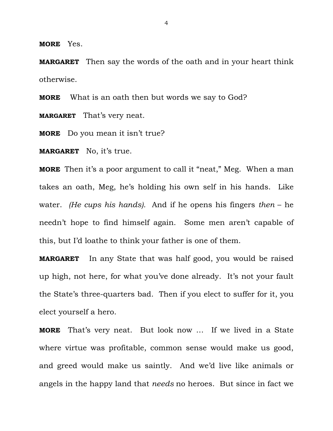**MORE** Yes.

**MARGARET** Then say the words of the oath and in your heart think otherwise.

**MORE** What is an oath then but words we say to God?

**MARGARET** That's very neat.

**MORE** Do you mean it isn't true?

**MARGARET** No, it's true.

**MORE** Then it's a poor argument to call it "neat," Meg. When a man takes an oath, Meg, he's holding his own self in his hands. Like water. *(He cups his hands).* And if he opens his fingers *then* – he needn't hope to find himself again. Some men aren't capable of this, but I'd loathe to think your father is one of them.

**MARGARET** In any State that was half good, you would be raised up high, not here, for what you've done already. It's not your fault the State's three-quarters bad. Then if you elect to suffer for it, you elect yourself a hero.

**MORE** That's very neat. But look now … If we lived in a State where virtue was profitable, common sense would make us good, and greed would make us saintly. And we'd live like animals or angels in the happy land that *needs* no heroes. But since in fact we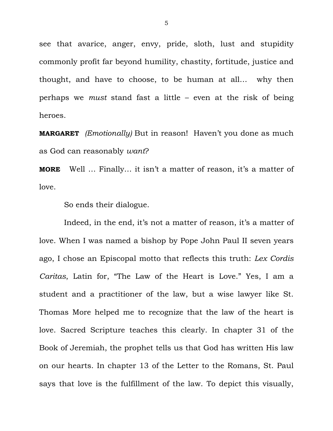see that avarice, anger, envy, pride, sloth, lust and stupidity commonly profit far beyond humility, chastity, fortitude, justice and thought, and have to choose, to be human at all… why then perhaps we *must* stand fast a little – even at the risk of being heroes.

**MARGARET** *(Emotionally)* But in reason! Haven't you done as much as God can reasonably *want*?

**MORE** Well … Finally… it isn't a matter of reason, it's a matter of love.

So ends their dialogue.

Indeed, in the end, it's not a matter of reason, it's a matter of love. When I was named a bishop by Pope John Paul II seven years ago, I chose an Episcopal motto that reflects this truth: *Lex Cordis Caritas*, Latin for, "The Law of the Heart is Love." Yes, I am a student and a practitioner of the law, but a wise lawyer like St. Thomas More helped me to recognize that the law of the heart is love. Sacred Scripture teaches this clearly. In chapter 31 of the Book of Jeremiah, the prophet tells us that God has written His law on our hearts. In chapter 13 of the Letter to the Romans, St. Paul says that love is the fulfillment of the law. To depict this visually,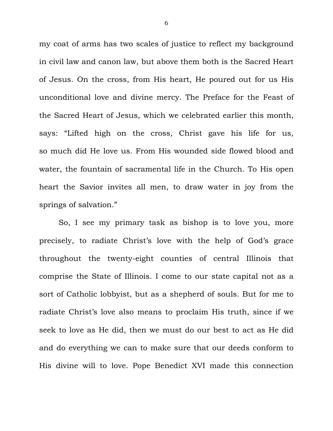my coat of arms has two scales of justice to reflect my background in civil law and canon law, but above them both is the Sacred Heart of Jesus. On the cross, from His heart, He poured out for us His unconditional love and divine mercy. The Preface for the Feast of the Sacred Heart of Jesus, which we celebrated earlier this month, says: "Lifted high on the cross, Christ gave his life for us, so much did He love us. From His wounded side flowed blood and water, the fountain of sacramental life in the Church. To His open heart the Savior invites all men, to draw water in joy from the springs of salvation."

 So, I see my primary task as bishop is to love you, more precisely, to radiate Christ's love with the help of God's grace throughout the twenty-eight counties of central Illinois that comprise the State of Illinois. I come to our state capital not as a sort of Catholic lobbyist, but as a shepherd of souls. But for me to radiate Christ's love also means to proclaim His truth, since if we seek to love as He did, then we must do our best to act as He did and do everything we can to make sure that our deeds conform to His divine will to love. Pope Benedict XVI made this connection

6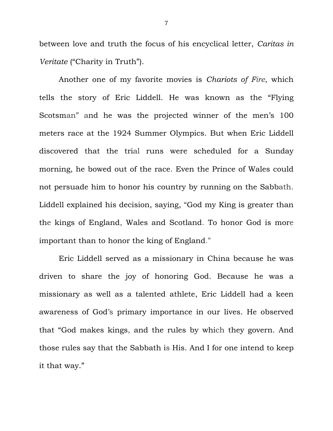between love and truth the focus of his encyclical letter, *Caritas in Veritate* ("Charity in Truth").

 Another one of my favorite movies is *Chariots of Fire*, which tells the story of Eric Liddell. He was known as the "Flying Scotsman" and he was the projected winner of the men's 100 meters race at the 1924 Summer Olympics. But when Eric Liddell discovered that the trial runs were scheduled for a Sunday morning, he bowed out of the race. Even the Prince of Wales could not persuade him to honor his country by running on the Sabbath. Liddell explained his decision, saying, "God my King is greater than the kings of England, Wales and Scotland. To honor God is more important than to honor the king of England."

Eric Liddell served as a missionary in China because he was driven to share the joy of honoring God. Because he was a missionary as well as a talented athlete, Eric Liddell had a keen awareness of God's primary importance in our lives. He observed that "God makes kings, and the rules by which they govern. And those rules say that the Sabbath is His. And I for one intend to keep it that way."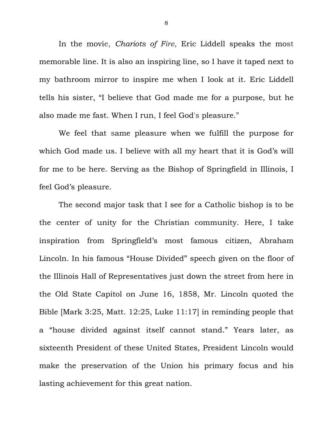In the movie, *Chariots of Fire*, Eric Liddell speaks the most memorable line. It is also an inspiring line, so I have it taped next to my bathroom mirror to inspire me when I look at it. Eric Liddell tells his sister, "I believe that God made me for a purpose, but he also made me fast. When I run, I feel God's pleasure."

We feel that same pleasure when we fulfill the purpose for which God made us. I believe with all my heart that it is God's will for me to be here. Serving as the Bishop of Springfield in Illinois, I feel God's pleasure.

The second major task that I see for a Catholic bishop is to be the center of unity for the Christian community. Here, I take inspiration from Springfield's most famous citizen, Abraham Lincoln. In his famous "House Divided" speech given on the floor of the Illinois Hall of Representatives just down the street from here in the Old State Capitol on June 16, 1858, Mr. Lincoln quoted the Bible [Mark 3:25, Matt. 12:25, Luke 11:17] in reminding people that a "house divided against itself cannot stand." Years later, as sixteenth President of these United States, President Lincoln would make the preservation of the Union his primary focus and his lasting achievement for this great nation.

8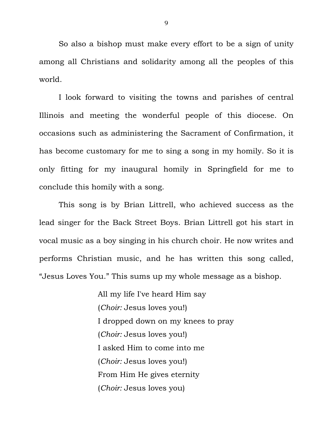So also a bishop must make every effort to be a sign of unity among all Christians and solidarity among all the peoples of this world.

 I look forward to visiting the towns and parishes of central Illinois and meeting the wonderful people of this diocese. On occasions such as administering the Sacrament of Confirmation, it has become customary for me to sing a song in my homily. So it is only fitting for my inaugural homily in Springfield for me to conclude this homily with a song.

 This song is by Brian Littrell, who achieved success as the lead singer for the Back Street Boys. Brian Littrell got his start in vocal music as a boy singing in his church choir. He now writes and performs Christian music, and he has written this song called, "Jesus Loves You." This sums up my whole message as a bishop.

> All my life I've heard Him say (*Choir:* Jesus loves you!) I dropped down on my knees to pray (*Choir:* Jesus loves you!) I asked Him to come into me (*Choir:* Jesus loves you!) From Him He gives eternity (*Choir:* Jesus loves you)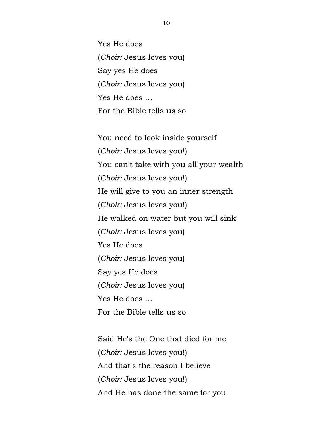Yes He does (*Choir:* Jesus loves you) Say yes He does (*Choir:* Jesus loves you) Yes He does … For the Bible tells us so

You need to look inside yourself (*Choir:* Jesus loves you!) You can't take with you all your wealth (*Choir:* Jesus loves you!) He will give to you an inner strength (*Choir:* Jesus loves you!) He walked on water but you will sink (*Choir:* Jesus loves you) Yes He does (*Choir:* Jesus loves you) Say yes He does (*Choir:* Jesus loves you) Yes He does … For the Bible tells us so

Said He's the One that died for me (*Choir:* Jesus loves you!) And that's the reason I believe (*Choir:* Jesus loves you!) And He has done the same for you